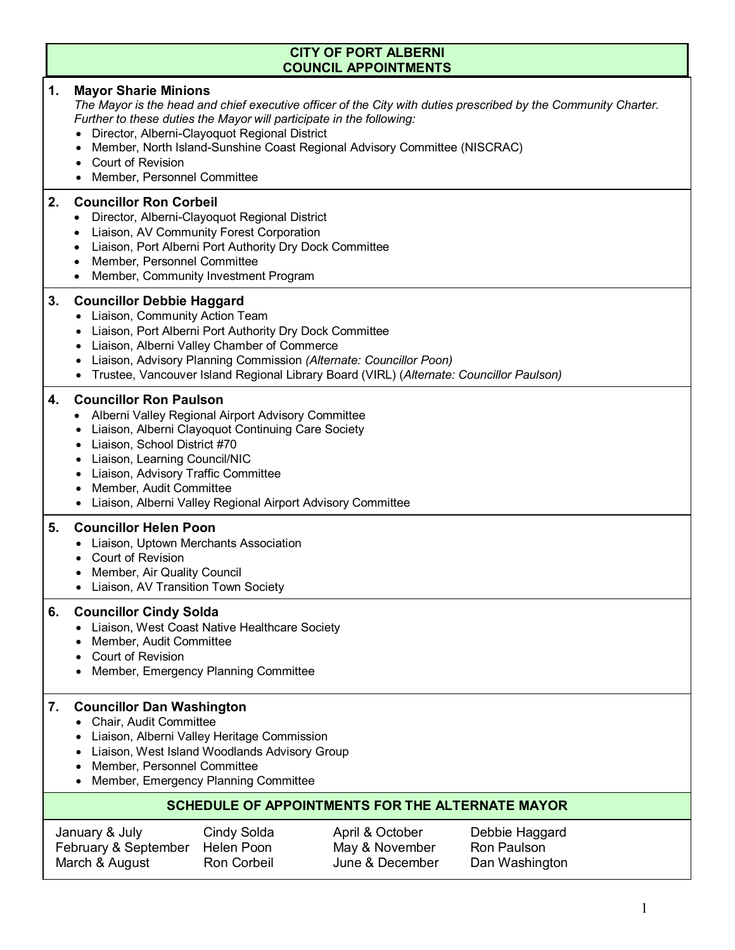## **CITY OF PORT ALBERNI COUNCIL APPOINTMENTS**

### **1. Mayor Sharie Minions**

The Mayor is the head and chief executive officer of the City with duties prescribed by the Community Charter. *Further to these duties the Mayor will participate in the following:*

- Director, Alberni-Clayoquot Regional District
- Member, North Island-Sunshine Coast Regional Advisory Committee (NISCRAC)
- Court of Revision
- Member, Personnel Committee

## **2. Councillor Ron Corbeil**

- Director, Alberni-Clayoquot Regional District
- Liaison, AV Community Forest Corporation
- Liaison, Port Alberni Port Authority Dry Dock Committee
- Member, Personnel Committee
- Member, Community Investment Program

### **3. Councillor Debbie Haggard**

- Liaison, Community Action Team
- Liaison, Port Alberni Port Authority Dry Dock Committee
- Liaison, Alberni Valley Chamber of Commerce
- Liaison, Advisory Planning Commission *(Alternate: Councillor Poon)*
- Trustee, Vancouver Island Regional Library Board (VIRL) (*Alternate: Councillor Paulson)*

## **4. Councillor Ron Paulson**

- Alberni Valley Regional Airport Advisory Committee
- Liaison, Alberni Clayoquot Continuing Care Society
- Liaison, School District #70
- Liaison, Learning Council/NIC
- Liaison, Advisory Traffic Committee
- Member, Audit Committee
- Liaison, Alberni Valley Regional Airport Advisory Committee

## **5. Councillor Helen Poon**

- Liaison, Uptown Merchants Association
- Court of Revision
- Member, Air Quality Council
- Liaison, AV Transition Town Society

#### **6. Councillor Cindy Solda**

- Liaison, West Coast Native Healthcare Society
- Member, Audit Committee
- Court of Revision
- Member, Emergency Planning Committee

#### **7. Councillor Dan Washington**

- Chair, Audit Committee
- Liaison, Alberni Valley Heritage Commission
- Liaison, West Island Woodlands Advisory Group
- Member, Personnel Committee
- Member, Emergency Planning Committee

## **SCHEDULE OF APPOINTMENTS FOR THE ALTERNATE MAYOR**

| January & July       | Cindy Solda | April & October | Debbie Haggard |
|----------------------|-------------|-----------------|----------------|
| February & September | Helen Poon  | May & November  | Ron Paulson    |
| March & August       | Ron Corbeil | June & December | Dan Washington |